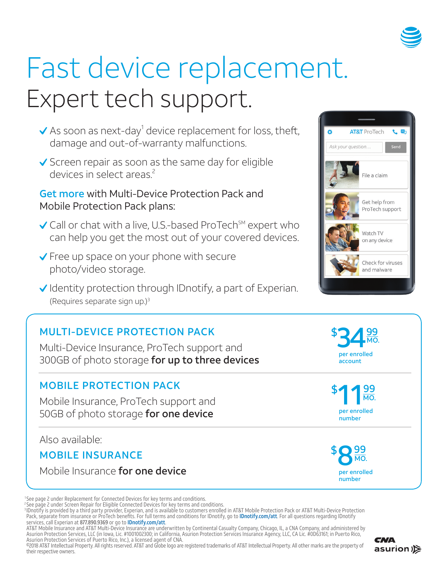

# Fast device replacement. Expert tech support.

- As soon as next-day $^1$  device replacement for loss, theft, damage and out-of-warranty malfunctions.
- $\checkmark$  Screen repair as soon as the same day for eligible devices in select areas.<sup>2</sup>

## Get more with Multi-Device Protection Pack and Mobile Protection Pack plans:

- $\checkmark$  Call or chat with a live, U.S.-based ProTech<sup>SM</sup> expert who can help you get the most out of your covered devices.
- ◆ Free up space on your phone with secure photo/video storage.
- $\checkmark$  Identity protection through IDnotify, a part of Experian. (Requires separate sign up.)3

## MULTI-DEVICE PROTECTION PACK

Multi-Device Insurance, ProTech support and 300GB of photo storage for up to three devices

## MOBILE PROTECTION PACK

Mobile Insurance, ProTech support and 50GB of photo storage for one device

Also available:

## MOBILE INSURANCE

Mobile Insurance for one device

<sup>2</sup>See page 2 under Screen Repair for Eligible Connected Devices for key terms and conditions.<br><sup>3</sup>IDnotify is provided by a third party provider, Experian, and is available to customers enrolled in AT&T Mobile Protection P Pack, separate from insurance or ProTech benefits. For full terms and conditions for IDnotify, go to **IDnotify.com/att**. For all questions regarding IDnotify services, call Experian at **877.890.9369** or go to **IDnotify.com/att**.<br>AT&T Mobile Insurance and AT&T Multi-Device Insurance are underwritten by Continental Casualty Company, Chicago, IL, a CNA Company, and administered by

Asurion Protection Services, LLC (in Iowa, Lic. #1001002300; in California, Asurion Protection Services Insurance Agency, LLC, CA Lic. #0D63161; in Puerto Rico, Asurion Protection Services of Puerto Rico, Inc.), a licensed agent of CNA.

 ©2018 AT&T Intellectual Property. All rights reserved. AT&T and Globe logo are registered trademarks of AT&T Intellectual Property. All other marks are the property of their respective owners.





per enrolled

34<sup>99</sup>

MO.

\$

per enrolled number





<sup>1</sup> See page 2 under Replacement for Connected Devices for key terms and conditions.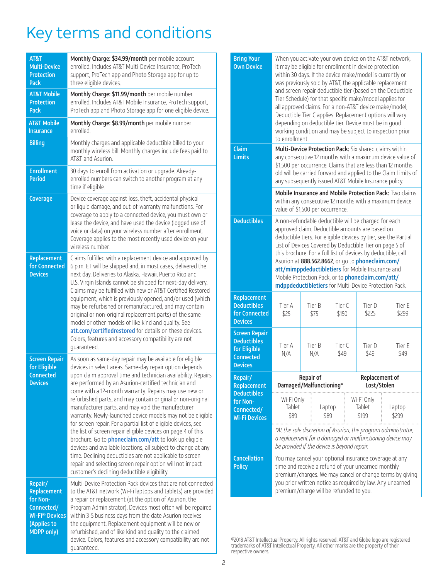## Key terms and conditions

| AT&T<br><b>Multi-Device</b><br><b>Protection</b><br>Pack                                                                 | Monthly Charge: \$34.99/month per mobile account<br>enrolled. Includes AT&T Multi-Device Insurance, ProTech<br>support, ProTech app and Photo Storage app for up to<br>three eligible devices.                                                                                                                                                                                                                                                                                                                                                                                                                                                                                                                                                                                                                                                                                                                                       |  |  |  |  |
|--------------------------------------------------------------------------------------------------------------------------|--------------------------------------------------------------------------------------------------------------------------------------------------------------------------------------------------------------------------------------------------------------------------------------------------------------------------------------------------------------------------------------------------------------------------------------------------------------------------------------------------------------------------------------------------------------------------------------------------------------------------------------------------------------------------------------------------------------------------------------------------------------------------------------------------------------------------------------------------------------------------------------------------------------------------------------|--|--|--|--|
| <b>AT&amp;T Mobile</b><br><b>Protection</b><br><b>Pack</b>                                                               | Monthly Charge: \$11.99/month per mobile number<br>enrolled. Includes AT&T Mobile Insurance, ProTech support,<br>ProTech app and Photo Storage app for one eligible device.                                                                                                                                                                                                                                                                                                                                                                                                                                                                                                                                                                                                                                                                                                                                                          |  |  |  |  |
| <b>AT&amp;T Mobile</b><br><b>Insurance</b>                                                                               | Monthly Charge: \$8.99/month per mobile number<br>hellonne                                                                                                                                                                                                                                                                                                                                                                                                                                                                                                                                                                                                                                                                                                                                                                                                                                                                           |  |  |  |  |
| <b>Billing</b>                                                                                                           | Monthly charges and applicable deductible billed to your<br>monthly wireless bill. Monthly charges include fees paid to<br>AT&T and Asurion.                                                                                                                                                                                                                                                                                                                                                                                                                                                                                                                                                                                                                                                                                                                                                                                         |  |  |  |  |
| <b>Enrollment</b><br><b>Period</b>                                                                                       | 30 days to enroll from activation or upgrade. Already-<br>enrolled numbers can switch to another program at any<br>time if eligible.                                                                                                                                                                                                                                                                                                                                                                                                                                                                                                                                                                                                                                                                                                                                                                                                 |  |  |  |  |
| Coverage                                                                                                                 | Device coverage against loss, theft, accidental physical<br>or liquid damage, and out-of-warranty malfunctions. For<br>coverage to apply to a connected device, you must own or<br>lease the device, and have used the device (logged use of<br>voice or data) on your wireless number after enrollment.<br>Coverage applies to the most recently used device on your<br>wireless number.                                                                                                                                                                                                                                                                                                                                                                                                                                                                                                                                            |  |  |  |  |
| Replacement<br>for Connected<br><b>Devices</b>                                                                           | Claims fulfilled with a replacement device and approved by<br>6 p.m. ET will be shipped and, in most cases, delivered the<br>next day. Deliveries to Alaska, Hawaii, Puerto Rico and<br>U.S. Virgin Islands cannot be shipped for next-day delivery.<br>Claims may be fulfilled with new or AT&T Certified Restored<br>equipment, which is previously opened, and/or used (which<br>may be refurbished or remanufactured, and may contain<br>original or non-original replacement parts) of the same<br>model or other models of like kind and quality. See<br>att.com/certifiedrestored for details on these devices.<br>Colors, features and accessory compatibility are not<br>quaranteed.                                                                                                                                                                                                                                        |  |  |  |  |
| <b>Screen Repair</b><br>for Eligible<br><b>Connected</b><br><b>Devices</b>                                               | As soon as same-day repair may be available for eligible<br>devices in select areas. Same-day repair option depends<br>upon claim approval time and technician availability. Repairs<br>are performed by an Asurion-certified technician and<br>come with a 12-month warranty. Repairs may use new or<br>refurbished parts, and may contain original or non-original<br>manufacturer parts, and may void the manufacturer<br>warranty. Newly-launched device models may not be eligible<br>for screen repair. For a partial list of eligible devices, see<br>the list of screen repair eligible devices on page 4 of this<br>brochure. Go to <i>phoneclaim.com/att</i> to look up eligible<br>devices and available locations, all subject to change at any<br>time. Declining deductibles are not applicable to screen<br>repair and selecting screen repair option will not impact<br>customer's declining deductible eligibility. |  |  |  |  |
| Repair/<br>Replacement<br>for Non-<br>Connected/<br><b>Wi-Fi<sup>®</sup> Devices</b><br>(Applies to<br><b>MDPP only)</b> | Multi-Device Protection Pack devices that are not connected<br>to the AT&T network (Wi-Fi laptops and tablets) are provided<br>a repair or replacement (at the option of Asurion, the<br>Program Administrator). Devices most often will be repaired<br>within 3-5 business days from the date Asurion receives<br>the equipment. Replacement equipment will be new or<br>refurbished, and of like kind and quality to the claimed<br>device. Colors, features and accessory compatibility are not<br>quaranteed.                                                                                                                                                                                                                                                                                                                                                                                                                    |  |  |  |  |

| <b>Bring Your</b><br><b>Own Device</b>                                                           | When you activate your own device on the AT&T network,<br>it may be eligible for enrollment in device protection<br>within 30 days. If the device make/model is currently or<br>was previously sold by AT&T, the applicable replacement<br>and screen repair deductible tier (based on the Deductible<br>Tier Schedule) for that specific make/model applies for<br>all approved claims. For a non-AT&T device make/model,<br>Deductible Tier C applies. Replacement options will vary<br>depending on deductible tier. Device must be in good<br>working condition and may be subject to inspection prior<br>to enrollment. |                |                 |                                                  |                 |  |
|--------------------------------------------------------------------------------------------------|------------------------------------------------------------------------------------------------------------------------------------------------------------------------------------------------------------------------------------------------------------------------------------------------------------------------------------------------------------------------------------------------------------------------------------------------------------------------------------------------------------------------------------------------------------------------------------------------------------------------------|----------------|-----------------|--------------------------------------------------|-----------------|--|
| Claim<br><b>Limits</b>                                                                           | Multi-Device Protection Pack: Six shared claims within<br>any consecutive 12 months with a maximum device value of<br>\$1,500 per occurrence. Claims that are less than 12 months<br>old will be carried forward and applied to the Claim Limits of<br>any subsequently issued AT&T Mobile Insurance policy.<br><b>Mobile Insurance and Mobile Protection Pack: Two claims</b><br>within any consecutive 12 months with a maximum device<br>value of \$1,500 per occurrence.                                                                                                                                                 |                |                 |                                                  |                 |  |
|                                                                                                  |                                                                                                                                                                                                                                                                                                                                                                                                                                                                                                                                                                                                                              |                |                 |                                                  |                 |  |
| <b>Deductibles</b>                                                                               | A non-refundable deductible will be charged for each<br>approved claim. Deductible amounts are based on<br>deductible tiers. For eligible devices by tier, see the Partial<br>List of Devices Covered by Deductible Tier on page 5 of<br>this brochure. For a full list of devices by deductible, call<br>Asurion at 888.562.8662, or go to phoneclaim.com/<br>att/mimppdeductibletiers for Mobile Insurance and<br>Mobile Protection Pack, or to phoneclaim.com/att/<br>mdppdeductibletiers for Multi-Device Protection Pack.                                                                                               |                |                 |                                                  |                 |  |
| Replacement<br><b>Deductibles</b><br>for Connected<br><b>Devices</b>                             | Tier A<br>\$25                                                                                                                                                                                                                                                                                                                                                                                                                                                                                                                                                                                                               | Tier B<br>\$75 | Tier C<br>\$150 | Tier D<br>\$225                                  | Tier E<br>\$299 |  |
| <b>Screen Repair</b><br><b>Deductibles</b><br>for Eligible<br><b>Connected</b><br><b>Devices</b> | Tier A<br>N/A                                                                                                                                                                                                                                                                                                                                                                                                                                                                                                                                                                                                                | Tier B<br>N/A  | Tier C<br>\$49  | Tier D<br>\$49                                   | Tier E<br>\$49  |  |
| Repair/<br>Replacement                                                                           | <b>Repair of</b><br>Damaged/Malfunctioning*                                                                                                                                                                                                                                                                                                                                                                                                                                                                                                                                                                                  |                |                 | Replacement of<br>Lost/Stolen                    |                 |  |
| <b>Deductibles</b><br>for Non-<br>Connected/<br><b>Wi-Fi Devices</b>                             | Wi-Fi Only<br>Tablet<br>Laptop<br>\$89<br>\$89                                                                                                                                                                                                                                                                                                                                                                                                                                                                                                                                                                               |                |                 | Wi-Fi Only<br>Tablet<br>Laptop<br>\$199<br>\$299 |                 |  |
|                                                                                                  | *At the sole discretion of Asurion, the program administrator,<br>a replacement for a damaged or malfunctioning device may<br>be provided if the device is beyond repair.                                                                                                                                                                                                                                                                                                                                                                                                                                                    |                |                 |                                                  |                 |  |
| <b>Cancellation</b><br><b>Policy</b>                                                             | You may cancel your optional insurance coverage at any<br>time and receive a refund of your unearned monthly<br>premium/charges. We may cancel or change terms by giving<br>you prior written notice as required by law. Any unearned<br>premium/charge will be refunded to you.                                                                                                                                                                                                                                                                                                                                             |                |                 |                                                  |                 |  |

 ©2018 AT&T Intellectual Property. All rights reserved. AT&T and Globe logo are registered trademarks of AT&T Intellectual Property. All other marks are the property of their respective owners.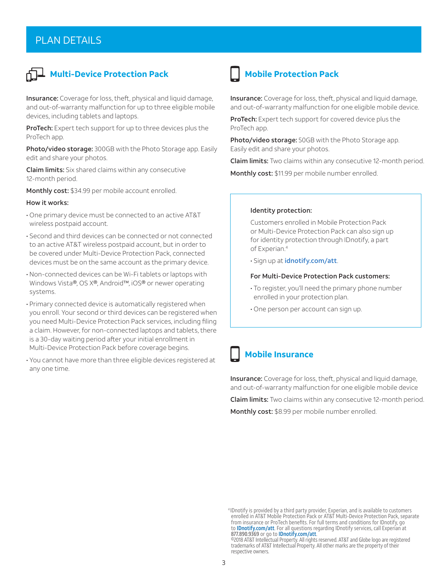#### PLAN DETAILS



## **Haulti-Device Protection Pack**

Insurance: Coverage for loss, theft, physical and liquid damage, and out-of-warranty malfunction for up to three eligible mobile devices, including tablets and laptops.

ProTech: Expert tech support for up to three devices plus the ProTech app.

Photo/video storage: 300GB with the Photo Storage app. Easily edit and share your photos.

Claim limits: Six shared claims within any consecutive 12-month period.

Monthly cost: \$34.99 per mobile account enrolled.

#### How it works:

- One primary device must be connected to an active AT&T wireless postpaid account.
- Second and third devices can be connected or not connected to an active AT&T wireless postpaid account, but in order to be covered under Multi-Device Protection Pack, connected devices must be on the same account as the primary device.
- Non-connected devices can be Wi-Fi tablets or laptops with Windows Vista®, OS X®, Android™, iOS® or newer operating systems.
- Primary connected device is automatically registered when you enroll. Your second or third devices can be registered when you need Multi-Device Protection Pack services, including filing a claim. However, for non-connected laptops and tablets, there is a 30-day waiting period after your initial enrollment in Multi-Device Protection Pack before coverage begins.
- You cannot have more than three eligible devices registered at any one time.

## **Mobile Protection Pack**

Insurance: Coverage for loss, theft, physical and liquid damage, and out-of-warranty malfunction for one eligible mobile device.

ProTech: Expert tech support for covered device plus the ProTech app.

Photo/video storage: 50GB with the Photo Storage app. Easily edit and share your photos.

Claim limits: Two claims within any consecutive 12-month period.

Monthly cost: \$11.99 per mobile number enrolled.

#### Identity protection:

Customers enrolled in Mobile Protection Pack or Multi-Device Protection Pack can also sign up for identity protection through IDnotify, a part of Experian.<sup>4</sup>

• Sign up at idnotify.com/att.

#### For Multi-Device Protection Pack customers:

- To register, you'll need the primary phone number enrolled in your protection plan.
- One person per account can sign up.

#### **Mobile Insurance**

Insurance: Coverage for loss, theft, physical and liquid damage, and out-of-warranty malfunction for one eligible mobile device **Claim limits:** Two claims within any consecutive 12-month period. Monthly cost: \$8.99 per mobile number enrolled.

 <sup>4</sup> IDnotify is provided by a third party provider, Experian, and is available to customers enrolled in AT&T Mobile Protection Pack or AT&T Multi-Device Protection Pack, separate from insurance or ProTech benefits. For full terms and conditions for IDnotify, go to **IDnotify.com/att**. For all questions regarding IDnotify services, call Experian at 877.890.9369 or go to IDnotify.com/att.

 <sup>©2018</sup> AT&T Intellectual Property. All rights reserved. AT&T and Globe logo are registered trademarks of AT&T Intellectual Property. All other marks are the property of their respective owners.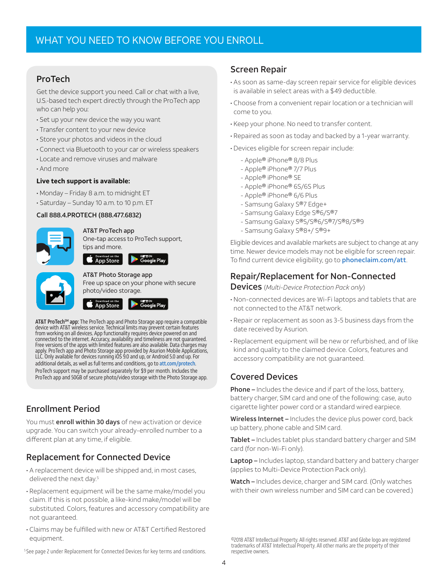#### ProTech

Get the device support you need. Call or chat with a live, U.S.-based tech expert directly through the ProTech app who can help you:

- Set up your new device the way you want
- Transfer content to your new device
- Store your photos and videos in the cloud
- Connect via Bluetooth to your car or wireless speakers
- Locate and remove viruses and malware
- And more

#### **Live tech support is available:**

- Monday Friday 8 a.m. to midnight ET
- Saturday Sunday 10 a.m. to 10 p.m. ET

#### Call 888.4.PROTECH (888.477.6832)



#### AT&T ProTech app

One-tap access to ProTech support, tips and more.



## AT&T Photo Storage app

Free up space on your phone with secure photo/video storage.



**AT&T ProTech™ app:** The ProTech app and Photo Storage app require a compatible<br>device with AT&T wireless service. Technical limits may prevent certain features from working on all devices. App functionality requires device powered on and connected to the internet. Accuracy, availability and timeliness are not guaranteed. Free versions of the apps with limited features are also available. Data charges may apply. ProTech app and Photo Storage app provided by Asurion Mobile Applications, LLC. Only available for devices running iOS 9.0 and up, or Android 5.0 and up. For additional details, as well as full terms and conditions, go to att.com/protech. ProTech support may be purchased separately for \$9 per month. Includes the ProTech app and 50GB of secure photo/video storage with the Photo Storage app.

#### Enrollment Period

You must **enroll within 30 days** of new activation or device upgrade. You can switch your already-enrolled number to a different plan at any time, if eligible.

#### Replacement for Connected Device

- A replacement device will be shipped and, in most cases, delivered the next day.<sup>5</sup>
- Replacement equipment will be the same make/model you claim. If this is not possible, a like-kind make/model will be substituted. Colors, features and accessory compatibility are not guaranteed.
- Claims may be fulfilled with new or AT&T Certified Restored equipment.

#### Screen Repair

- As soon as same-day screen repair service for eligible devices is available in select areas with a \$49 deductible.
- Choose from a convenient repair location or a technician will come to you.
- Keep your phone. No need to transfer content.
- Repaired as soon as today and backed by a 1-year warranty.
- Devices eligible for screen repair include:
	- Apple® iPhone® 8/8 Plus
	- Apple® iPhone® 7/7 Plus
	- Apple® iPhone® SE
	- Apple® iPhone® 6S/6S Plus
	- Apple® iPhone® 6/6 Plus
	- Samsung Galaxy S®7 Edge+
	- Samsung Galaxy Edge S®6/S®7
	- Samsung Galaxy S®5/S®6/S®7/S®8/S®9
	- Samsung Galaxy S®8+/ S®9+

Eligible devices and available markets are subject to change at any time. Newer device models may not be eligible for screen repair. To find current device eligibility, go to **phoneclaim.com/att**.

#### Repair/Replacement for Non-Connected

Devices (*Multi-Device Protection Pack only*)

- Non-connected devices are Wi-Fi laptops and tablets that are not connected to the AT&T network.
- Repair or replacement as soon as 3-5 business days from the date received by Asurion.
- Replacement equipment will be new or refurbished, and of like kind and quality to the claimed device. Colors, features and accessory compatibility are not guaranteed.

#### Covered Devices

Phone – Includes the device and if part of the loss, battery, battery charger, SIM card and one of the following: case, auto cigarette lighter power cord or a standard wired earpiece.

Wireless Internet - Includes the device plus power cord, back up battery, phone cable and SIM card.

Tablet - Includes tablet plus standard battery charger and SIM card (for non-Wi-Fi only).

Laptop – Includes laptop, standard battery and battery charger (applies to Multi-Device Protection Pack only).

Watch – Includes device, charger and SIM card. (Only watches with their own wireless number and SIM card can be covered.)

 <sup>©2018</sup> AT&T Intellectual Property. All rights reserved. AT&T and Globe logo are registered trademarks of AT&T Intellectual Property. All other marks are the property of their respective owners.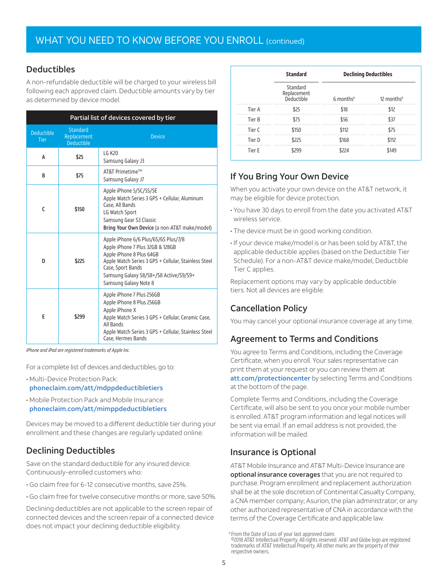#### Deductibles

A non-refundable deductible will be charged to your wireless bill following each approved claim. Deductible amounts vary by tier as determined by device model.

| Partial list of devices covered by tier |                                              |                                                                                                                                                                                                                                                      |  |  |  |  |
|-----------------------------------------|----------------------------------------------|------------------------------------------------------------------------------------------------------------------------------------------------------------------------------------------------------------------------------------------------------|--|--|--|--|
| <b>Deductible</b><br><b>Tier</b>        | Standard<br>Replacement<br><b>Deductible</b> | <b>Device</b>                                                                                                                                                                                                                                        |  |  |  |  |
| А                                       | \$25                                         | LG K20<br>Samsung Galaxy J3                                                                                                                                                                                                                          |  |  |  |  |
| B                                       | \$75                                         | AT&T Primetime™<br>Samsung Galaxy J7                                                                                                                                                                                                                 |  |  |  |  |
| C                                       | \$150                                        | Apple iPhone 5/5C/5S/SE<br>Apple Watch Series 3 GPS + Cellular, Aluminum<br>Case, All Bands<br>LG Watch Sport<br>Samsung Gear S3 Classic<br>Bring Your Own Device (a non-AT&T make/model)                                                            |  |  |  |  |
| D                                       | \$225                                        | Apple iPhone 6/6 Plus/6S/6S Plus/7/8<br>Apple iPhone 7 Plus 32GB & 128GB<br>Apple iPhone 8 Plus 64GB<br>Apple Watch Series 3 GPS + Cellular, Stainless Steel<br>Case, Sport Bands<br>Samsung Galaxy S8/S8+/S8 Active/S9/S9+<br>Samsung Galaxy Note 8 |  |  |  |  |
| E                                       | \$299                                        | Apple iPhone 7 Plus 256GB<br>Apple iPhone 8 Plus 256GB<br>Apple iPhone X<br>Apple Watch Series 3 GPS + Cellular, Ceramic Case,<br>All Bands<br>Apple Watch Series 3 GPS + Cellular, Stainless Steel<br>Case, Hermes Bands                            |  |  |  |  |

*iPhone and iPad are registered trademarks of Apple Inc.* 

For a complete list of devices and deductibles, go to:

- Multi-Device Protection Pack: phoneclaim.com/att/mdppdeductibletiers
- Mobile Protection Pack and Mobile Insurance: phoneclaim.com/att/mimppdeductibletiers

Devices may be moved to a different deductible tier during your enrollment and these changes are regularly updated online.

#### Declining Deductibles

Save on the standard deductible for any insured device. Continuously-enrolled customers who:

- Go claim free for 6-12 consecutive months, save 25%.
- Go claim free for twelve consecutive months or more, save 50%.

Declining deductibles are not applicable to the screen repair of connected devices and the screen repair of a connected device does not impact your declining deductible eligibility.

|        | <b>Standard</b>                       | <b>Declining Deductibles</b> |                        |  |
|--------|---------------------------------------|------------------------------|------------------------|--|
|        | Standard<br>Replacement<br>Deductible | $6$ months <sup>6</sup>      | 12 months <sup>6</sup> |  |
| Tier A | \$25                                  | \$18                         | \$12                   |  |
| Tier B | \$75                                  | \$56                         | \$37                   |  |
| Tier C | \$150                                 | \$112                        | \$75                   |  |
| Tier D | \$225                                 | \$168                        | \$112                  |  |
| Tier E | \$299                                 | \$224                        | \$149                  |  |

## If You Bring Your Own Device

When you activate your own device on the AT&T network, it may be eligible for device protection.

- You have 30 days to enroll from the date you activated AT&T wireless service.
- The device must be in good working condition.
- If your device make/model is or has been sold by AT&T, the applicable deductible applies (based on the Deductible Tier Schedule). For a non-AT&T device make/model, Deductible Tier C applies.

Replacement options may vary by applicable deductible tiers. Not all devices are eligible.

#### Cancellation Policy

You may cancel your optional insurance coverage at any time.

#### Agreement to Terms and Conditions

You agree to Terms and Conditions, including the Coverage Certificate, when you enroll. Your sales representative can print them at your request or you can review them at att.com/protectioncenter by selecting Terms and Conditions at the bottom of the page.

Complete Terms and Conditions, including the Coverage Certificate, will also be sent to you once your mobile number is enrolled. AT&T program information and legal notices will be sent via email. If an email address is not provided, the information will be mailed.

#### Insurance is Optional

AT&T Mobile Insurance and AT&T Multi-Device Insurance are optional insurance coverages that you are not required to purchase. Program enrollment and replacement authorization shall be at the sole discretion of Continental Casualty Company, a CNA member company; Asurion, the plan administrator; or any other authorized representative of CNA in accordance with the terms of the Coverage Certificate and applicable law.

<sup>6</sup> From the Date of Loss of your last approved claim.

 <sup>©2018</sup> AT&T Intellectual Property. All rights reserved. AT&T and Globe logo are registered trademarks of AT&T Intellectual Property. All other marks are the property of their respective owners.